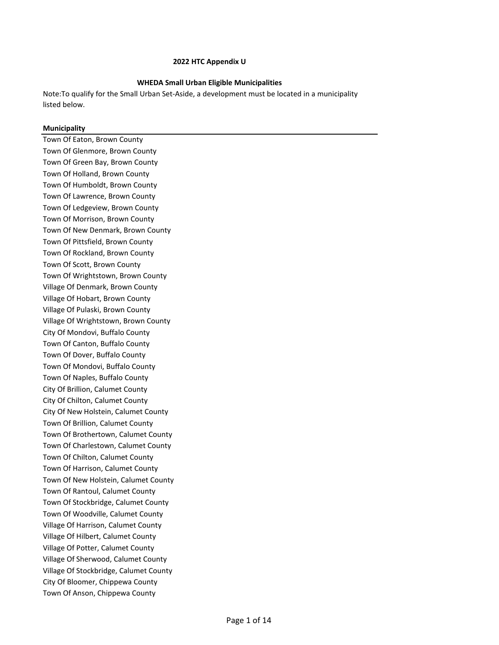### **WHEDA Small Urban Eligible Municipalities**

Note:To qualify for the Small Urban Set‐Aside, a development must be located in a municipality listed below.

### **Municipality**

Town Of Eaton, Brown County Town Of Glenmore, Brown County Town Of Green Bay, Brown County Town Of Holland, Brown County Town Of Humboldt, Brown County Town Of Lawrence, Brown County Town Of Ledgeview, Brown County Town Of Morrison, Brown County Town Of New Denmark, Brown County Town Of Pittsfield, Brown County Town Of Rockland, Brown County Town Of Scott, Brown County Town Of Wrightstown, Brown County Village Of Denmark, Brown County Village Of Hobart, Brown County Village Of Pulaski, Brown County Village Of Wrightstown, Brown County City Of Mondovi, Buffalo County Town Of Canton, Buffalo County Town Of Dover, Buffalo County Town Of Mondovi, Buffalo County Town Of Naples, Buffalo County City Of Brillion, Calumet County City Of Chilton, Calumet County City Of New Holstein, Calumet County Town Of Brillion, Calumet County Town Of Brothertown, Calumet County Town Of Charlestown, Calumet County Town Of Chilton, Calumet County Town Of Harrison, Calumet County Town Of New Holstein, Calumet County Town Of Rantoul, Calumet County Town Of Stockbridge, Calumet County Town Of Woodville, Calumet County Village Of Harrison, Calumet County Village Of Hilbert, Calumet County Village Of Potter, Calumet County Village Of Sherwood, Calumet County Village Of Stockbridge, Calumet County City Of Bloomer, Chippewa County Town Of Anson, Chippewa County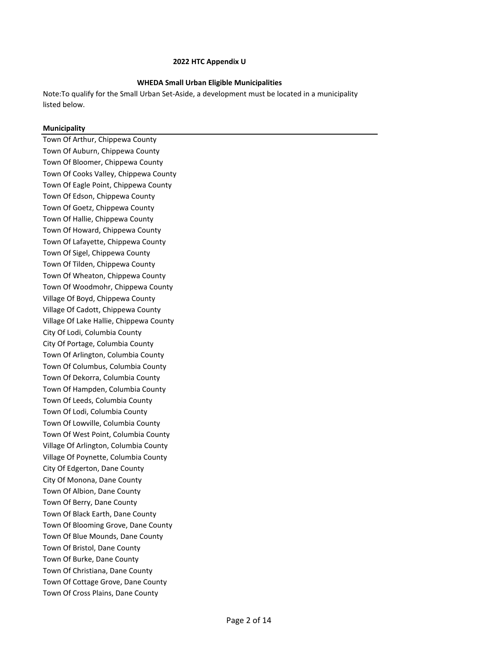### **WHEDA Small Urban Eligible Municipalities**

Note:To qualify for the Small Urban Set‐Aside, a development must be located in a municipality listed below.

### **Municipality**

Town Of Arthur, Chippewa County Town Of Auburn, Chippewa County Town Of Bloomer, Chippewa County Town Of Cooks Valley, Chippewa County Town Of Eagle Point, Chippewa County Town Of Edson, Chippewa County Town Of Goetz, Chippewa County Town Of Hallie, Chippewa County Town Of Howard, Chippewa County Town Of Lafayette, Chippewa County Town Of Sigel, Chippewa County Town Of Tilden, Chippewa County Town Of Wheaton, Chippewa County Town Of Woodmohr, Chippewa County Village Of Boyd, Chippewa County Village Of Cadott, Chippewa County Village Of Lake Hallie, Chippewa County City Of Lodi, Columbia County City Of Portage, Columbia County Town Of Arlington, Columbia County Town Of Columbus, Columbia County Town Of Dekorra, Columbia County Town Of Hampden, Columbia County Town Of Leeds, Columbia County Town Of Lodi, Columbia County Town Of Lowville, Columbia County Town Of West Point, Columbia County Village Of Arlington, Columbia County Village Of Poynette, Columbia County City Of Edgerton, Dane County City Of Monona, Dane County Town Of Albion, Dane County Town Of Berry, Dane County Town Of Black Earth, Dane County Town Of Blooming Grove, Dane County Town Of Blue Mounds, Dane County Town Of Bristol, Dane County Town Of Burke, Dane County Town Of Christiana, Dane County Town Of Cottage Grove, Dane County Town Of Cross Plains, Dane County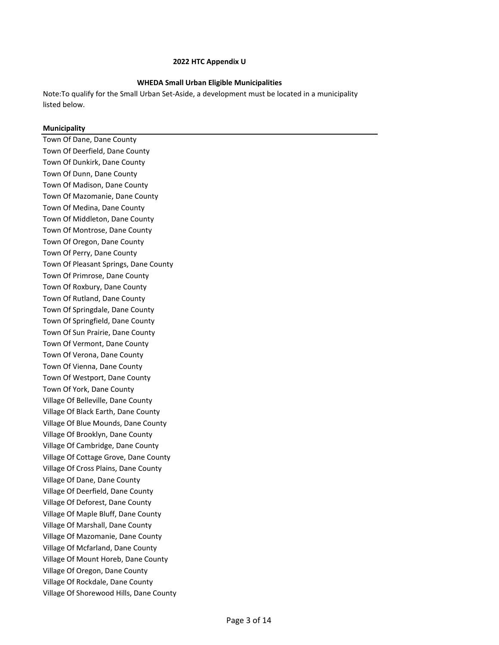### **WHEDA Small Urban Eligible Municipalities**

Note:To qualify for the Small Urban Set‐Aside, a development must be located in a municipality listed below.

### **Municipality**

Town Of Dane, Dane County Town Of Deerfield, Dane County Town Of Dunkirk, Dane County Town Of Dunn, Dane County Town Of Madison, Dane County Town Of Mazomanie, Dane County Town Of Medina, Dane County Town Of Middleton, Dane County Town Of Montrose, Dane County Town Of Oregon, Dane County Town Of Perry, Dane County Town Of Pleasant Springs, Dane County Town Of Primrose, Dane County Town Of Roxbury, Dane County Town Of Rutland, Dane County Town Of Springdale, Dane County Town Of Springfield, Dane County Town Of Sun Prairie, Dane County Town Of Vermont, Dane County Town Of Verona, Dane County Town Of Vienna, Dane County Town Of Westport, Dane County Town Of York, Dane County Village Of Belleville, Dane County Village Of Black Earth, Dane County Village Of Blue Mounds, Dane County Village Of Brooklyn, Dane County Village Of Cambridge, Dane County Village Of Cottage Grove, Dane County Village Of Cross Plains, Dane County Village Of Dane, Dane County Village Of Deerfield, Dane County Village Of Deforest, Dane County Village Of Maple Bluff, Dane County Village Of Marshall, Dane County Village Of Mazomanie, Dane County Village Of Mcfarland, Dane County Village Of Mount Horeb, Dane County Village Of Oregon, Dane County Village Of Rockdale, Dane County Village Of Shorewood Hills, Dane County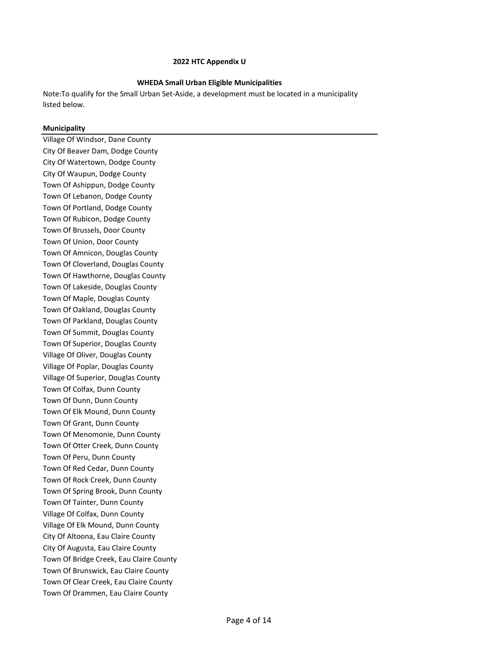### **WHEDA Small Urban Eligible Municipalities**

Note:To qualify for the Small Urban Set‐Aside, a development must be located in a municipality listed below.

### **Municipality**

Village Of Windsor, Dane County City Of Beaver Dam, Dodge County City Of Watertown, Dodge County City Of Waupun, Dodge County Town Of Ashippun, Dodge County Town Of Lebanon, Dodge County Town Of Portland, Dodge County Town Of Rubicon, Dodge County Town Of Brussels, Door County Town Of Union, Door County Town Of Amnicon, Douglas County Town Of Cloverland, Douglas County Town Of Hawthorne, Douglas County Town Of Lakeside, Douglas County Town Of Maple, Douglas County Town Of Oakland, Douglas County Town Of Parkland, Douglas County Town Of Summit, Douglas County Town Of Superior, Douglas County Village Of Oliver, Douglas County Village Of Poplar, Douglas County Village Of Superior, Douglas County Town Of Colfax, Dunn County Town Of Dunn, Dunn County Town Of Elk Mound, Dunn County Town Of Grant, Dunn County Town Of Menomonie, Dunn County Town Of Otter Creek, Dunn County Town Of Peru, Dunn County Town Of Red Cedar, Dunn County Town Of Rock Creek, Dunn County Town Of Spring Brook, Dunn County Town Of Tainter, Dunn County Village Of Colfax, Dunn County Village Of Elk Mound, Dunn County City Of Altoona, Eau Claire County City Of Augusta, Eau Claire County Town Of Bridge Creek, Eau Claire County Town Of Brunswick, Eau Claire County Town Of Clear Creek, Eau Claire County Town Of Drammen, Eau Claire County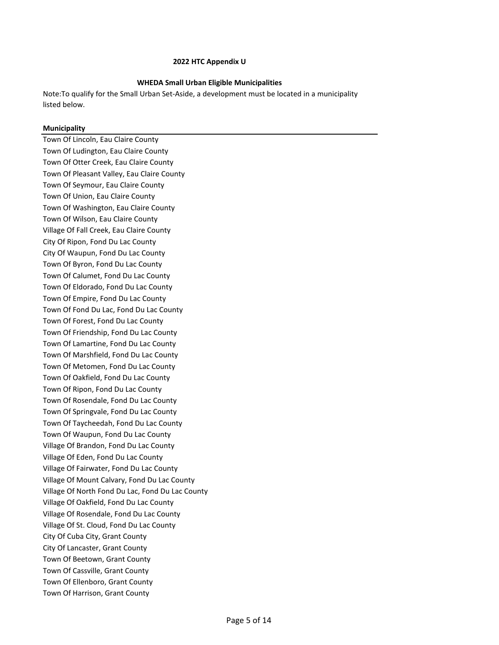### **WHEDA Small Urban Eligible Municipalities**

Note:To qualify for the Small Urban Set‐Aside, a development must be located in a municipality listed below.

### **Municipality**

Town Of Lincoln, Eau Claire County Town Of Ludington, Eau Claire County Town Of Otter Creek, Eau Claire County Town Of Pleasant Valley, Eau Claire County Town Of Seymour, Eau Claire County Town Of Union, Eau Claire County Town Of Washington, Eau Claire County Town Of Wilson, Eau Claire County Village Of Fall Creek, Eau Claire County City Of Ripon, Fond Du Lac County City Of Waupun, Fond Du Lac County Town Of Byron, Fond Du Lac County Town Of Calumet, Fond Du Lac County Town Of Eldorado, Fond Du Lac County Town Of Empire, Fond Du Lac County Town Of Fond Du Lac, Fond Du Lac County Town Of Forest, Fond Du Lac County Town Of Friendship, Fond Du Lac County Town Of Lamartine, Fond Du Lac County Town Of Marshfield, Fond Du Lac County Town Of Metomen, Fond Du Lac County Town Of Oakfield, Fond Du Lac County Town Of Ripon, Fond Du Lac County Town Of Rosendale, Fond Du Lac County Town Of Springvale, Fond Du Lac County Town Of Taycheedah, Fond Du Lac County Town Of Waupun, Fond Du Lac County Village Of Brandon, Fond Du Lac County Village Of Eden, Fond Du Lac County Village Of Fairwater, Fond Du Lac County Village Of Mount Calvary, Fond Du Lac County Village Of North Fond Du Lac, Fond Du Lac County Village Of Oakfield, Fond Du Lac County Village Of Rosendale, Fond Du Lac County Village Of St. Cloud, Fond Du Lac County City Of Cuba City, Grant County City Of Lancaster, Grant County Town Of Beetown, Grant County Town Of Cassville, Grant County Town Of Ellenboro, Grant County Town Of Harrison, Grant County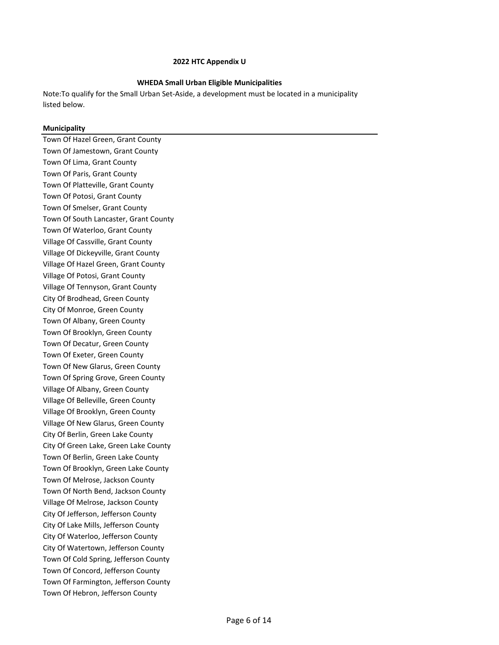### **WHEDA Small Urban Eligible Municipalities**

Note:To qualify for the Small Urban Set‐Aside, a development must be located in a municipality listed below.

### **Municipality**

Town Of Hazel Green, Grant County Town Of Jamestown, Grant County Town Of Lima, Grant County Town Of Paris, Grant County Town Of Platteville, Grant County Town Of Potosi, Grant County Town Of Smelser, Grant County Town Of South Lancaster, Grant County Town Of Waterloo, Grant County Village Of Cassville, Grant County Village Of Dickeyville, Grant County Village Of Hazel Green, Grant County Village Of Potosi, Grant County Village Of Tennyson, Grant County City Of Brodhead, Green County City Of Monroe, Green County Town Of Albany, Green County Town Of Brooklyn, Green County Town Of Decatur, Green County Town Of Exeter, Green County Town Of New Glarus, Green County Town Of Spring Grove, Green County Village Of Albany, Green County Village Of Belleville, Green County Village Of Brooklyn, Green County Village Of New Glarus, Green County City Of Berlin, Green Lake County City Of Green Lake, Green Lake County Town Of Berlin, Green Lake County Town Of Brooklyn, Green Lake County Town Of Melrose, Jackson County Town Of North Bend, Jackson County Village Of Melrose, Jackson County City Of Jefferson, Jefferson County City Of Lake Mills, Jefferson County City Of Waterloo, Jefferson County City Of Watertown, Jefferson County Town Of Cold Spring, Jefferson County Town Of Concord, Jefferson County Town Of Farmington, Jefferson County Town Of Hebron, Jefferson County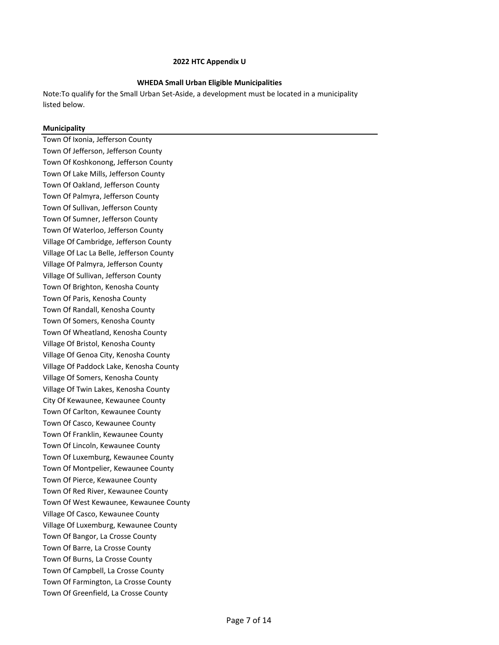### **WHEDA Small Urban Eligible Municipalities**

Note:To qualify for the Small Urban Set‐Aside, a development must be located in a municipality listed below.

### **Municipality**

Town Of Ixonia, Jefferson County Town Of Jefferson, Jefferson County Town Of Koshkonong, Jefferson County Town Of Lake Mills, Jefferson County Town Of Oakland, Jefferson County Town Of Palmyra, Jefferson County Town Of Sullivan, Jefferson County Town Of Sumner, Jefferson County Town Of Waterloo, Jefferson County Village Of Cambridge, Jefferson County Village Of Lac La Belle, Jefferson County Village Of Palmyra, Jefferson County Village Of Sullivan, Jefferson County Town Of Brighton, Kenosha County Town Of Paris, Kenosha County Town Of Randall, Kenosha County Town Of Somers, Kenosha County Town Of Wheatland, Kenosha County Village Of Bristol, Kenosha County Village Of Genoa City, Kenosha County Village Of Paddock Lake, Kenosha County Village Of Somers, Kenosha County Village Of Twin Lakes, Kenosha County City Of Kewaunee, Kewaunee County Town Of Carlton, Kewaunee County Town Of Casco, Kewaunee County Town Of Franklin, Kewaunee County Town Of Lincoln, Kewaunee County Town Of Luxemburg, Kewaunee County Town Of Montpelier, Kewaunee County Town Of Pierce, Kewaunee County Town Of Red River, Kewaunee County Town Of West Kewaunee, Kewaunee County Village Of Casco, Kewaunee County Village Of Luxemburg, Kewaunee County Town Of Bangor, La Crosse County Town Of Barre, La Crosse County Town Of Burns, La Crosse County Town Of Campbell, La Crosse County Town Of Farmington, La Crosse County Town Of Greenfield, La Crosse County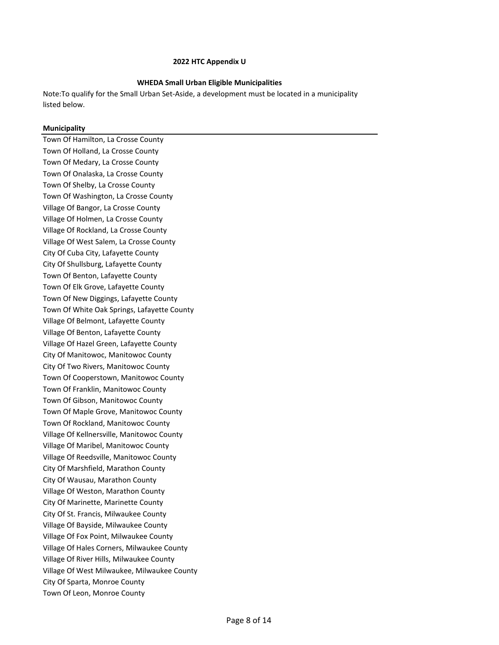### **WHEDA Small Urban Eligible Municipalities**

Note:To qualify for the Small Urban Set‐Aside, a development must be located in a municipality listed below.

### **Municipality**

Town Of Hamilton, La Crosse County Town Of Holland, La Crosse County Town Of Medary, La Crosse County Town Of Onalaska, La Crosse County Town Of Shelby, La Crosse County Town Of Washington, La Crosse County Village Of Bangor, La Crosse County Village Of Holmen, La Crosse County Village Of Rockland, La Crosse County Village Of West Salem, La Crosse County City Of Cuba City, Lafayette County City Of Shullsburg, Lafayette County Town Of Benton, Lafayette County Town Of Elk Grove, Lafayette County Town Of New Diggings, Lafayette County Town Of White Oak Springs, Lafayette County Village Of Belmont, Lafayette County Village Of Benton, Lafayette County Village Of Hazel Green, Lafayette County City Of Manitowoc, Manitowoc County City Of Two Rivers, Manitowoc County Town Of Cooperstown, Manitowoc County Town Of Franklin, Manitowoc County Town Of Gibson, Manitowoc County Town Of Maple Grove, Manitowoc County Town Of Rockland, Manitowoc County Village Of Kellnersville, Manitowoc County Village Of Maribel, Manitowoc County Village Of Reedsville, Manitowoc County City Of Marshfield, Marathon County City Of Wausau, Marathon County Village Of Weston, Marathon County City Of Marinette, Marinette County City Of St. Francis, Milwaukee County Village Of Bayside, Milwaukee County Village Of Fox Point, Milwaukee County Village Of Hales Corners, Milwaukee County Village Of River Hills, Milwaukee County Village Of West Milwaukee, Milwaukee County City Of Sparta, Monroe County Town Of Leon, Monroe County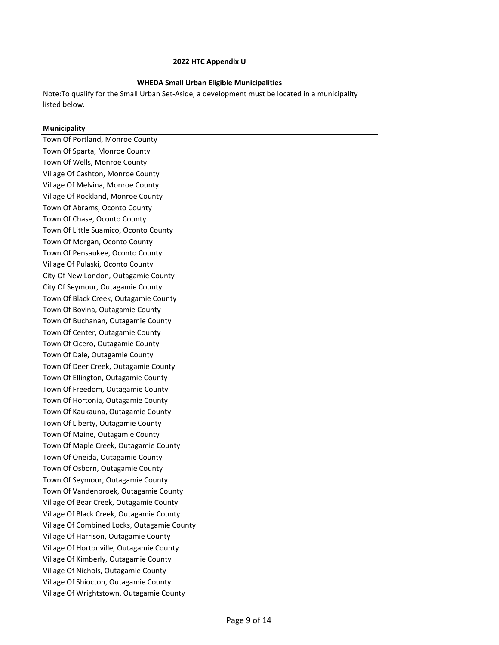### **WHEDA Small Urban Eligible Municipalities**

Note:To qualify for the Small Urban Set‐Aside, a development must be located in a municipality listed below.

### **Municipality**

Town Of Portland, Monroe County Town Of Sparta, Monroe County Town Of Wells, Monroe County Village Of Cashton, Monroe County Village Of Melvina, Monroe County Village Of Rockland, Monroe County Town Of Abrams, Oconto County Town Of Chase, Oconto County Town Of Little Suamico, Oconto County Town Of Morgan, Oconto County Town Of Pensaukee, Oconto County Village Of Pulaski, Oconto County City Of New London, Outagamie County City Of Seymour, Outagamie County Town Of Black Creek, Outagamie County Town Of Bovina, Outagamie County Town Of Buchanan, Outagamie County Town Of Center, Outagamie County Town Of Cicero, Outagamie County Town Of Dale, Outagamie County Town Of Deer Creek, Outagamie County Town Of Ellington, Outagamie County Town Of Freedom, Outagamie County Town Of Hortonia, Outagamie County Town Of Kaukauna, Outagamie County Town Of Liberty, Outagamie County Town Of Maine, Outagamie County Town Of Maple Creek, Outagamie County Town Of Oneida, Outagamie County Town Of Osborn, Outagamie County Town Of Seymour, Outagamie County Town Of Vandenbroek, Outagamie County Village Of Bear Creek, Outagamie County Village Of Black Creek, Outagamie County Village Of Combined Locks, Outagamie County Village Of Harrison, Outagamie County Village Of Hortonville, Outagamie County Village Of Kimberly, Outagamie County Village Of Nichols, Outagamie County Village Of Shiocton, Outagamie County Village Of Wrightstown, Outagamie County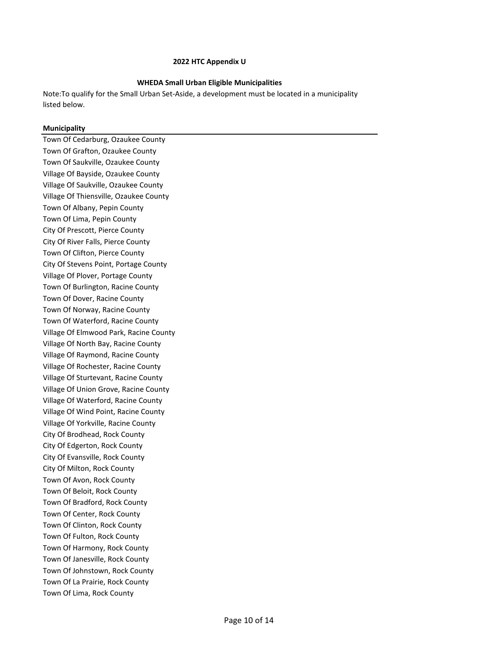### **WHEDA Small Urban Eligible Municipalities**

Note:To qualify for the Small Urban Set‐Aside, a development must be located in a municipality listed below.

### **Municipality**

Town Of Cedarburg, Ozaukee County Town Of Grafton, Ozaukee County Town Of Saukville, Ozaukee County Village Of Bayside, Ozaukee County Village Of Saukville, Ozaukee County Village Of Thiensville, Ozaukee County Town Of Albany, Pepin County Town Of Lima, Pepin County City Of Prescott, Pierce County City Of River Falls, Pierce County Town Of Clifton, Pierce County City Of Stevens Point, Portage County Village Of Plover, Portage County Town Of Burlington, Racine County Town Of Dover, Racine County Town Of Norway, Racine County Town Of Waterford, Racine County Village Of Elmwood Park, Racine County Village Of North Bay, Racine County Village Of Raymond, Racine County Village Of Rochester, Racine County Village Of Sturtevant, Racine County Village Of Union Grove, Racine County Village Of Waterford, Racine County Village Of Wind Point, Racine County Village Of Yorkville, Racine County City Of Brodhead, Rock County City Of Edgerton, Rock County City Of Evansville, Rock County City Of Milton, Rock County Town Of Avon, Rock County Town Of Beloit, Rock County Town Of Bradford, Rock County Town Of Center, Rock County Town Of Clinton, Rock County Town Of Fulton, Rock County Town Of Harmony, Rock County Town Of Janesville, Rock County Town Of Johnstown, Rock County Town Of La Prairie, Rock County Town Of Lima, Rock County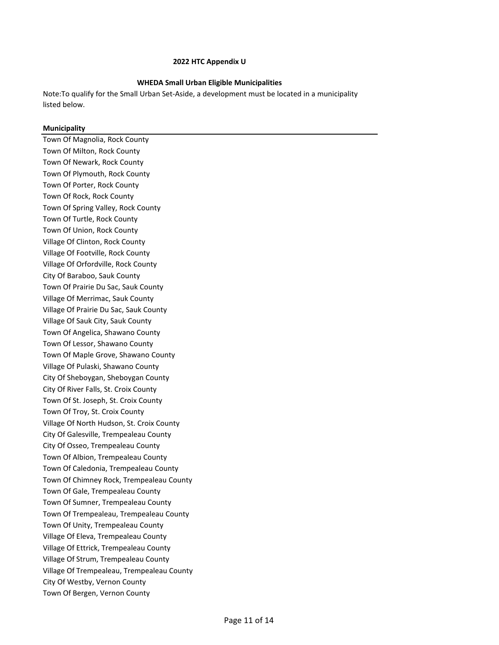### **WHEDA Small Urban Eligible Municipalities**

Note:To qualify for the Small Urban Set‐Aside, a development must be located in a municipality listed below.

### **Municipality**

Town Of Magnolia, Rock County Town Of Milton, Rock County Town Of Newark, Rock County Town Of Plymouth, Rock County Town Of Porter, Rock County Town Of Rock, Rock County Town Of Spring Valley, Rock County Town Of Turtle, Rock County Town Of Union, Rock County Village Of Clinton, Rock County Village Of Footville, Rock County Village Of Orfordville, Rock County City Of Baraboo, Sauk County Town Of Prairie Du Sac, Sauk County Village Of Merrimac, Sauk County Village Of Prairie Du Sac, Sauk County Village Of Sauk City, Sauk County Town Of Angelica, Shawano County Town Of Lessor, Shawano County Town Of Maple Grove, Shawano County Village Of Pulaski, Shawano County City Of Sheboygan, Sheboygan County City Of River Falls, St. Croix County Town Of St. Joseph, St. Croix County Town Of Troy, St. Croix County Village Of North Hudson, St. Croix County City Of Galesville, Trempealeau County City Of Osseo, Trempealeau County Town Of Albion, Trempealeau County Town Of Caledonia, Trempealeau County Town Of Chimney Rock, Trempealeau County Town Of Gale, Trempealeau County Town Of Sumner, Trempealeau County Town Of Trempealeau, Trempealeau County Town Of Unity, Trempealeau County Village Of Eleva, Trempealeau County Village Of Ettrick, Trempealeau County Village Of Strum, Trempealeau County Village Of Trempealeau, Trempealeau County City Of Westby, Vernon County Town Of Bergen, Vernon County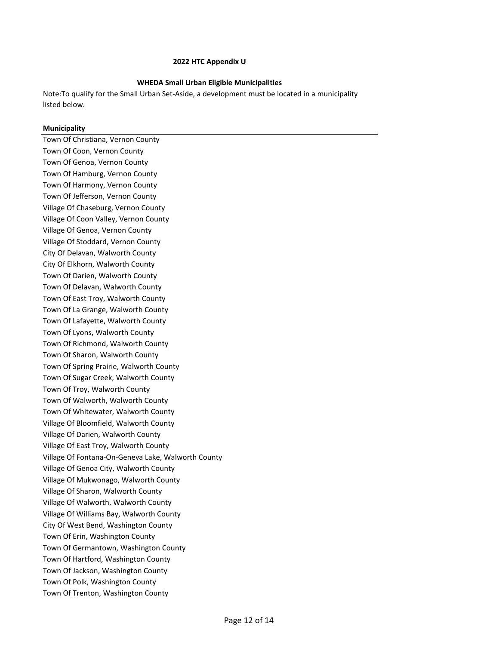### **WHEDA Small Urban Eligible Municipalities**

Note:To qualify for the Small Urban Set‐Aside, a development must be located in a municipality listed below.

### **Municipality**

Town Of Christiana, Vernon County Town Of Coon, Vernon County Town Of Genoa, Vernon County Town Of Hamburg, Vernon County Town Of Harmony, Vernon County Town Of Jefferson, Vernon County Village Of Chaseburg, Vernon County Village Of Coon Valley, Vernon County Village Of Genoa, Vernon County Village Of Stoddard, Vernon County City Of Delavan, Walworth County City Of Elkhorn, Walworth County Town Of Darien, Walworth County Town Of Delavan, Walworth County Town Of East Troy, Walworth County Town Of La Grange, Walworth County Town Of Lafayette, Walworth County Town Of Lyons, Walworth County Town Of Richmond, Walworth County Town Of Sharon, Walworth County Town Of Spring Prairie, Walworth County Town Of Sugar Creek, Walworth County Town Of Troy, Walworth County Town Of Walworth, Walworth County Town Of Whitewater, Walworth County Village Of Bloomfield, Walworth County Village Of Darien, Walworth County Village Of East Troy, Walworth County Village Of Fontana-On-Geneva Lake, Walworth County Village Of Genoa City, Walworth County Village Of Mukwonago, Walworth County Village Of Sharon, Walworth County Village Of Walworth, Walworth County Village Of Williams Bay, Walworth County City Of West Bend, Washington County Town Of Erin, Washington County Town Of Germantown, Washington County Town Of Hartford, Washington County Town Of Jackson, Washington County Town Of Polk, Washington County Town Of Trenton, Washington County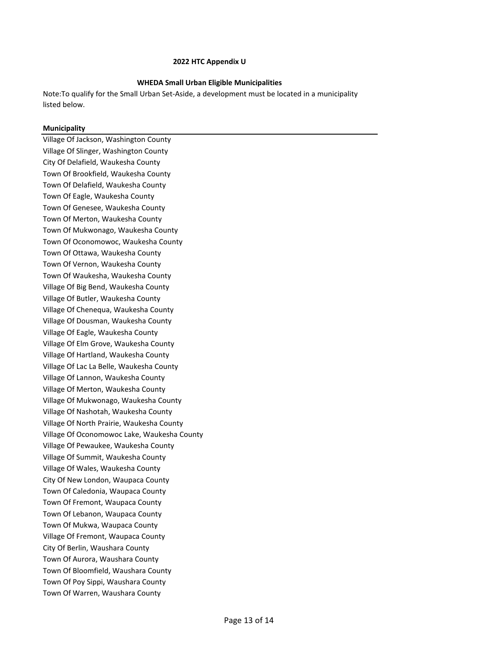### **WHEDA Small Urban Eligible Municipalities**

Note:To qualify for the Small Urban Set‐Aside, a development must be located in a municipality listed below.

### **Municipality**

Village Of Jackson, Washington County Village Of Slinger, Washington County City Of Delafield, Waukesha County Town Of Brookfield, Waukesha County Town Of Delafield, Waukesha County Town Of Eagle, Waukesha County Town Of Genesee, Waukesha County Town Of Merton, Waukesha County Town Of Mukwonago, Waukesha County Town Of Oconomowoc, Waukesha County Town Of Ottawa, Waukesha County Town Of Vernon, Waukesha County Town Of Waukesha, Waukesha County Village Of Big Bend, Waukesha County Village Of Butler, Waukesha County Village Of Chenequa, Waukesha County Village Of Dousman, Waukesha County Village Of Eagle, Waukesha County Village Of Elm Grove, Waukesha County Village Of Hartland, Waukesha County Village Of Lac La Belle, Waukesha County Village Of Lannon, Waukesha County Village Of Merton, Waukesha County Village Of Mukwonago, Waukesha County Village Of Nashotah, Waukesha County Village Of North Prairie, Waukesha County Village Of Oconomowoc Lake, Waukesha County Village Of Pewaukee, Waukesha County Village Of Summit, Waukesha County Village Of Wales, Waukesha County City Of New London, Waupaca County Town Of Caledonia, Waupaca County Town Of Fremont, Waupaca County Town Of Lebanon, Waupaca County Town Of Mukwa, Waupaca County Village Of Fremont, Waupaca County City Of Berlin, Waushara County Town Of Aurora, Waushara County Town Of Bloomfield, Waushara County Town Of Poy Sippi, Waushara County Town Of Warren, Waushara County